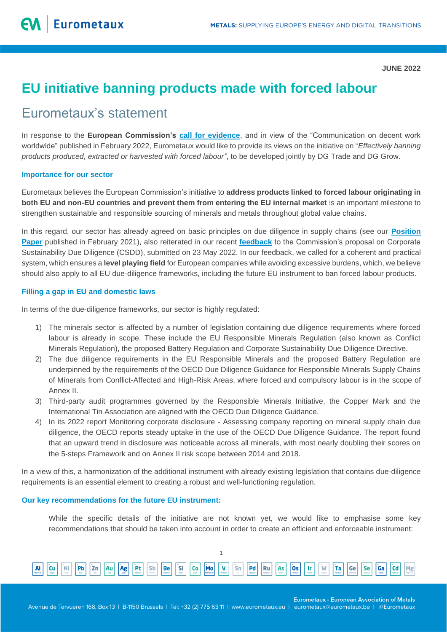**JUNE 2022**

# **EU initiative banning products made with forced labour**

# Eurometaux's statement

In response to the **European Commission's [call for evidence](https://ec.europa.eu/info/law/better-regulation/have-your-say/initiatives/13480-Effectively-banning-products-produced-extracted-or-harvested-with-forced-labour_en)**, and in view of the "Communication on decent work worldwide" published in February 2022, Eurometaux would like to provide its views on the initiative on "*Effectively banning products produced, extracted or harvested with forced labour"*, to be developed jointly by DG Trade and DG Grow.

#### **Importance for our sector**

Eurometaux believes the European Commission's initiative to **address products linked to forced labour originating in both EU and non-EU countries and prevent them from entering the EU internal market** is an important milestone to strengthen sustainable and responsible sourcing of minerals and metals throughout global value chains.

In this regard, our sector has already agreed on basic principles on due diligence in supply chains (see our **[Position](https://eurometaux.eu/media/kgqe3i3c/2021-02-10-em_dd_position_paper_10022021_final.pdf)  [Paper](https://eurometaux.eu/media/kgqe3i3c/2021-02-10-em_dd_position_paper_10022021_final.pdf)** published in February 2021), also reiterated in our recent **[feedback](https://eurometaux.eu/media/y2lawp2v/eurometaux-s-feedback-ec-corporate-sustainability-due-diligence-proposal_23-05-2022.pdf)** to the Commission's proposal on Corporate Sustainability Due Diligence (CSDD), submitted on 23 May 2022. In our feedback, we called for a coherent and practical system, which ensures a **level playing field** for European companies while avoiding excessive burdens, which, we believe should also apply to all EU due-diligence frameworks, including the future EU instrument to ban forced labour products.

## **Filling a gap in EU and domestic laws**

In terms of the due-diligence frameworks, our sector is highly regulated:

- 1) The minerals sector is affected by a number of legislation containing due diligence requirements where forced labour is already in scope. These include the EU Responsible Minerals Regulation (also known as Conflict Minerals Regulation), the proposed Battery Regulation and Corporate Sustainability Due Diligence Directive.
- 2) The due diligence requirements in the EU Responsible Minerals and the proposed Battery Regulation are underpinned by the requirements of the OECD Due Diligence Guidance for Responsible Minerals Supply Chains of Minerals from Conflict-Affected and High-Risk Areas, where forced and compulsory labour is in the scope of Annex II.
- 3) Third-party audit programmes governed by the Responsible Minerals Initiative, the Copper Mark and the International Tin Association are aligned with the OECD Due Diligence Guidance.
- 4) In its 2022 report Monitoring corporate disclosure Assessing company reporting on mineral supply chain due diligence, the OECD reports steady uptake in the use of the OECD Due Diligence Guidance. The report found that an upward trend in disclosure was noticeable across all minerals, with most nearly doubling their scores on the 5-steps Framework and on Annex II risk scope between 2014 and 2018.

In a view of this, a harmonization of the additional instrument with already existing legislation that contains due-diligence requirements is an essential element to creating a robust and well-functioning regulation.

### **Our key recommendations for the future EU instrument:**

While the specific details of the initiative are not known yet, we would like to emphasise some key recommendations that should be taken into account in order to create an efficient and enforceable instrument:



**Eurometaux - European Association of Metals** 

Avenue de Tervueren 168, Box 13 | B-1150 Brussels | Tel: +32 (2) 775 63 11 | www.eurometaux.eu | eurometaux@eurometaux.be | @Eurometaux